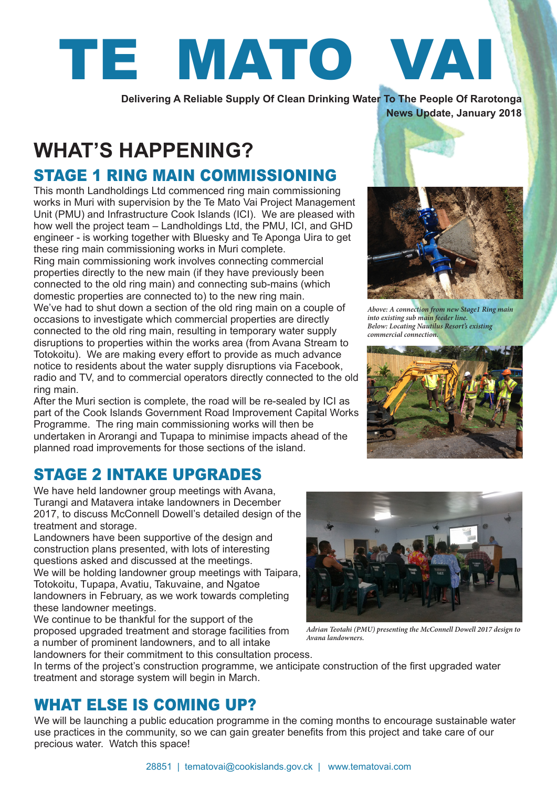

**Delivering A Reliable Supply Of Clean Drinking Water To The People Of Rarotonga**

#### **News Update, January 2018**

## **WHAT'S HAPPENING?**  STAGE 1 RING MAIN COMMISSIONING

This month Landholdings Ltd commenced ring main commissioning works in Muri with supervision by the Te Mato Vai Project Management Unit (PMU) and Infrastructure Cook Islands (ICI). We are pleased with how well the project team – Landholdings Ltd, the PMU, ICI, and GHD engineer - is working together with Bluesky and Te Aponga Uira to get these ring main commissioning works in Muri complete.

Ring main commissioning work involves connecting commercial properties directly to the new main (if they have previously been connected to the old ring main) and connecting sub-mains (which domestic properties are connected to) to the new ring main. We've had to shut down a section of the old ring main on a couple of occasions to investigate which commercial properties are directly connected to the old ring main, resulting in temporary water supply disruptions to properties within the works area (from Avana Stream to Totokoitu). We are making every effort to provide as much advance notice to residents about the water supply disruptions via Facebook, radio and TV, and to commercial operators directly connected to the old ring main.

After the Muri section is complete, the road will be re-sealed by ICI as part of the Cook Islands Government Road Improvement Capital Works Programme. The ring main commissioning works will then be undertaken in Arorangi and Tupapa to minimise impacts ahead of the planned road improvements for those sections of the island.

### STAGE 2 INTAKE UPGRADES

We have held landowner group meetings with Avana, Turangi and Matavera intake landowners in December 2017, to discuss McConnell Dowell's detailed design of the treatment and storage.

Landowners have been supportive of the design and construction plans presented, with lots of interesting questions asked and discussed at the meetings. We will be holding landowner group meetings with Taipara, Totokoitu, Tupapa, Avatiu, Takuvaine, and Ngatoe landowners in February, as we work towards completing these landowner meetings.

We continue to be thankful for the support of the proposed upgraded treatment and storage facilities from a number of prominent landowners, and to all intake



### WHAT ELSE IS COMING UP?

We will be launching a public education programme in the coming months to encourage sustainable water use practices in the community, so we can gain greater benefits from this project and take care of our precious water. Watch this space!



*Adrian Teotahi (PMU) presenting the McConnell Dowell 2017 design to Avana landowners.*



*Above: A connection from new Stage1 Ring main into existing sub main feeder line. Below: Locating Nautilus Resort's existing commercial connection.*